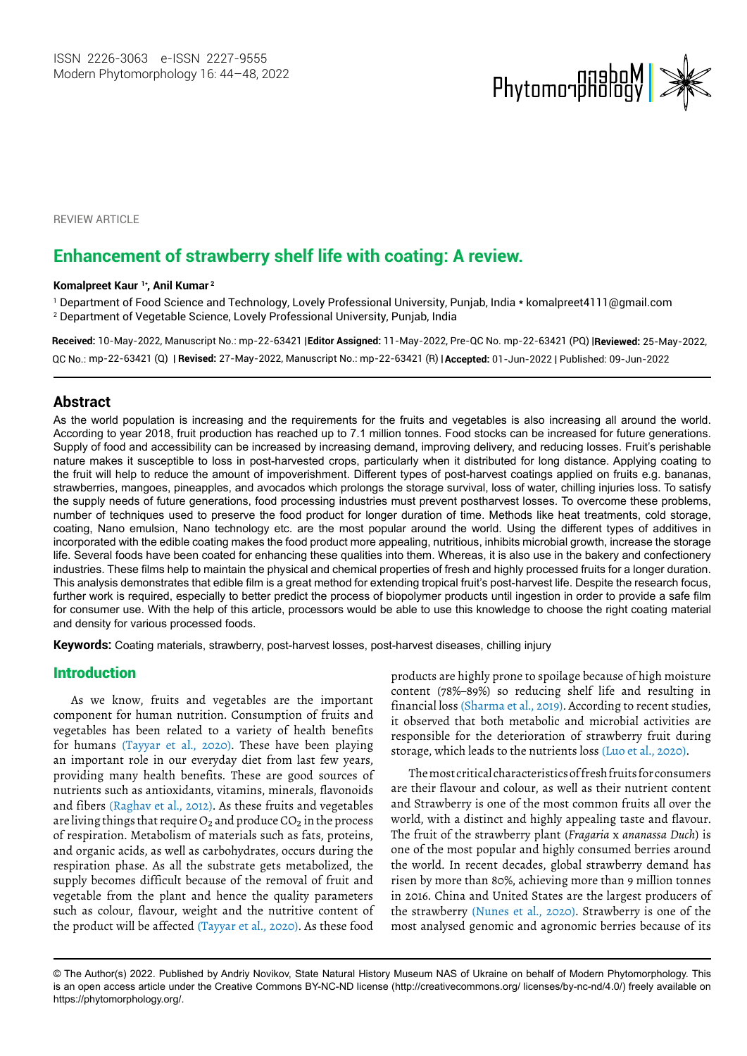

**REVIEW ARTICLE** 

# **Enhancement of strawberry shelf life with coating: A review.**

#### **Komalpreet Kaur 1\* , Anil Kumar 2**

1 Department of Food Science and Technology, Lovely Professional University, Punjab, India [\\* komalpreet4111@gmail.com](mailto:komalpreet4111@gmail.com) 2 Department of Vegetable Science, Lovely Professional University, Punjab, India

**Received:** 10-May-2022, Manuscript No.: mp-22-63421 | **Editor Assigned:** 11-May-2022, Pre-QC No. mp-22-63421 (PQ) | **Reviewed:** 25-May-2022,

mp-22-63421 (Q) | **Revised:** 27-May-2022, Manuscript No.: mp-22-63421 (R) | **Accepted:** 01-Jun-2022 | Published: 09-Jun-2022 QC No.:

## **Abstract**

As the world population is increasing and the requirements for the fruits and vegetables is also increasing all around the world. According to year 2018, fruit production has reached up to 7.1 million tonnes. Food stocks can be increased for future generations. Supply of food and accessibility can be increased by increasing demand, improving delivery, and reducing losses. Fruit's perishable nature makes it susceptible to loss in post-harvested crops, particularly when it distributed for long distance. Applying coating to the fruit will help to reduce the amount of impoverishment. Different types of post-harvest coatings applied on fruits e.g. bananas, strawberries, mangoes, pineapples, and avocados which prolongs the storage survival, loss of water, chilling injuries loss. To satisfy the supply needs of future generations, food processing industries must prevent postharvest losses. To overcome these problems, number of techniques used to preserve the food product for longer duration of time. Methods like heat treatments, cold storage, coating, Nano emulsion, Nano technology etc. are the most popular around the world. Using the different types of additives in incorporated with the edible coating makes the food product more appealing, nutritious, inhibits microbial growth, increase the storage life. Several foods have been coated for enhancing these qualities into them. Whereas, it is also use in the bakery and confectionery industries. These films help to maintain the physical and chemical properties of fresh and highly processed fruits for a longer duration. This analysis demonstrates that edible film is a great method for extending tropical fruit's post-harvest life. Despite the research focus, further work is required, especially to better predict the process of biopolymer products until ingestion in order to provide a safe film for consumer use. With the help of this article, processors would be able to use this knowledge to choose the right coating material and density for various processed foods.

**Keywords:** Coating materials, strawberry, post-harvest losses, post-harvest diseases, chilling injury

## Introduction

As we know, fruits and vegetables are the important component for human nutrition. Consumption of fruits and vegetables has been related to a variety of health benefits for humans (Tayyar et al., 2020). These have been playing an important role in our everyday diet from last few years, providing many health benefits. These are good sources of nutrients such as antioxidants, vitamins, minerals, flavonoids and fibers (Raghav et al., 2012). As these fruits and vegetables are living things that require  $O_2$  and produce  $CO_2$  in the process of respiration. Metabolism of materials such as fats, proteins, and organic acids, as well as carbohydrates, occurs during the respiration phase. As all the substrate gets metabolized, the supply becomes difficult because of the removal of fruit and vegetable from the plant and hence the quality parameters such as colour, flavour, weight and the nutritive content of the product will be affected (Tayyar et al., 2020). As these food

products are highly prone to spoilage because of high moisture content (78%–89%) so reducing shelf life and resulting in financial loss (Sharma et al., 2019). According to recent studies, it observed that both metabolic and microbial activities are responsible for the deterioration of strawberry fruit during storage, which leads to the nutrients loss (Luo et al., 2020).

The most critical characteristics of fresh fruits for consumers are their flavour and colour, as well as their nutrient content and Strawberry is one of the most common fruits all over the world, with a distinct and highly appealing taste and flavour. The fruit of the strawberry plant (*Fragaria* x *ananassa Duch*) is one of the most popular and highly consumed berries around the world. In recent decades, global strawberry demand has risen by more than 80%, achieving more than 9 million tonnes in 2016. China and United States are the largest producers of the strawberry (Nunes et al., 2020). Strawberry is one of the most analysed genomic and agronomic berries because of its

<sup>©</sup> The Author(s) 2022. Published by Andriy Novikov, State Natural History Museum NAS of Ukraine on behalf of Modern Phytomorphology. This is an open access article under the Creative Commons BY-NC-ND license (http://creativecommons.org/ licenses/by-nc-nd/4.0/) freely available on https://phytomorphology.org/.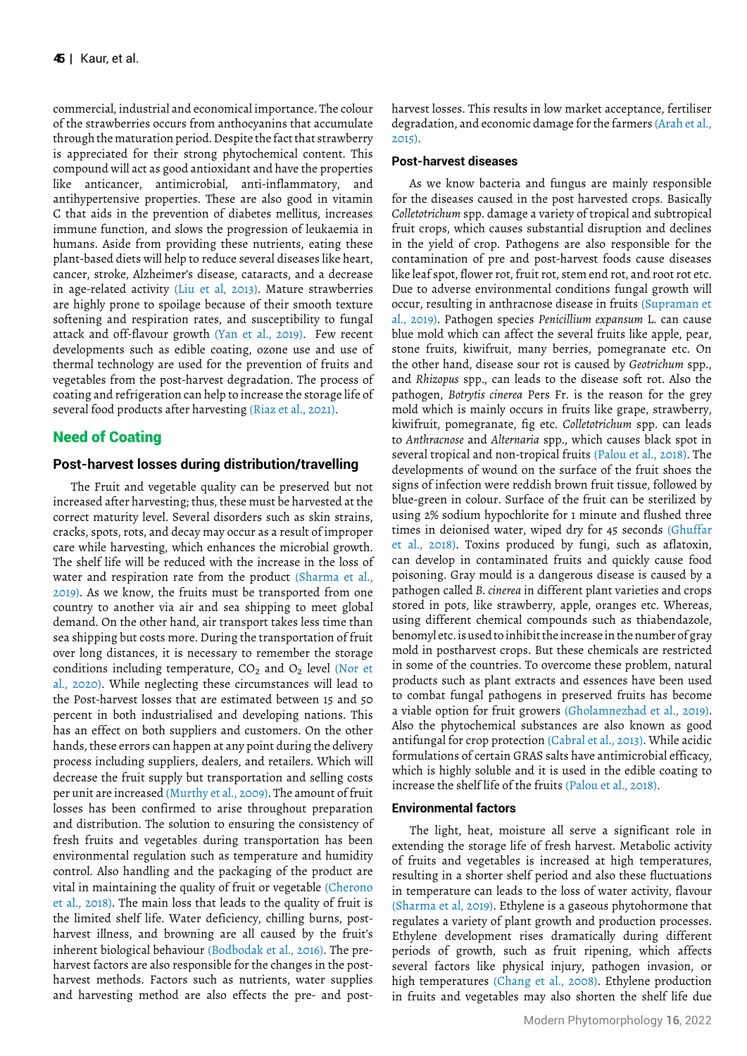commercial, industrial and economical importance. The colour of the strawberries occurs from anthocyanins that accumulate through the maturation period. Despite the fact that strawberry is appreciated for their strong phytochemical content. This compound will act as good antioxidant and have the properties like anticancer, antimicrobial, anti-inflammatory, and antihypertensive properties. These are also good in vitamin C that aids in the prevention of diabetes mellitus, increases immune function, and slows the progression of leukaemia in humans. Aside from providing these nutrients, eating these plant-based diets will help to reduce several diseases like heart, cancer, stroke, Alzheimer's disease, cataracts, and a decrease in age-related activity (Liu et al, 2013). Mature strawberries are highly prone to spoilage because of their smooth texture softening and respiration rates, and susceptibility to fungal attack and off-flavour growth (Yan et al., 2019). Few recent developments such as edible coating, ozone use and use of thermal technology are used for the prevention of fruits and vegetables from the post-harvest degradation. The process of coating and refrigeration can help to increase the storage life of several food products after harvesting (Riaz et al., 2021).

## Need of Coating

## **Post-harvest losses during distribution/travelling**

The Fruit and vegetable quality can be preserved but not increased after harvesting; thus, these must be harvested at the correct maturity level. Several disorders such as skin strains, cracks, spots, rots, and decay may occur as a result of improper care while harvesting, which enhances the microbial growth. The shelf life will be reduced with the increase in the loss of water and respiration rate from the product (Sharma et al., 2019). As we know, the fruits must be transported from one country to another via air and sea shipping to meet global demand. On the other hand, air transport takes less time than sea shipping but costs more. During the transportation of fruit over long distances, it is necessary to remember the storage conditions including temperature, CO<sub>2</sub> and O<sub>2</sub> level (Nor et al., 2020). While neglecting these circumstances will lead to the Post-harvest losses that are estimated between 15 and 50 percent in both industrialised and developing nations. This has an effect on both suppliers and customers. On the other hands, these errors can happen at any point during the delivery process including suppliers, dealers, and retailers. Which will decrease the fruit supply but transportation and selling costs per unit are increased (Murthy et al., 2009). The amount of fruit losses has been confirmed to arise throughout preparation and distribution. The solution to ensuring the consistency of fresh fruits and vegetables during transportation has been environmental regulation such as temperature and humidity control. Also handling and the packaging of the product are vital in maintaining the quality of fruit or vegetable (Cherono et al., 2018). The main loss that leads to the quality of fruit is the limited shelf life. Water deficiency, chilling burns, postharvest illness, and browning are all caused by the fruit's inherent biological behaviour (Bodbodak et al., 2016). The preharvest factors are also responsible for the changes in the postharvest methods. Factors such as nutrients, water supplies and harvesting method are also effects the pre- and postharvest losses. This results in low market acceptance, fertiliser degradation, and economic damage for the farmers (Arah et al.,  $2.015$ 

#### **Post-harvest diseases**

As we know bacteria and fungus are mainly responsible for the diseases caused in the post harvested crops. Basically *Colletotrichum* spp. damage a variety of tropical and subtropical fruit crops, which causes substantial disruption and declines in the yield of crop. Pathogens are also responsible for the contamination of pre and post-harvest foods cause diseases like leaf spot, flower rot, fruit rot, stem end rot, and root rot etc. Due to adverse environmental conditions fungal growth will occur, resulting in anthracnose disease in fruits (Supraman et al., 2019). Pathogen species *Penicillium expansum* L. can cause blue mold which can affect the several fruits like apple, pear, stone fruits, kiwifruit, many berries, pomegranate etc. On the other hand, disease sour rot is caused by *Geotrichum* spp., and *Rhizopus* spp., can leads to the disease soft rot. Also the pathogen, *Botrytis cinerea* Pers Fr. is the reason for the grey mold which is mainly occurs in fruits like grape, strawberry, kiwifruit, pomegranate, fig etc. *Colletotrichum* spp. can leads to *Anthracnose* and *Alternaria* spp., which causes black spot in several tropical and non-tropical fruits (Palou et al., 2018). The developments of wound on the surface of the fruit shoes the signs of infection were reddish brown fruit tissue, followed by blue-green in colour. Surface of the fruit can be sterilized by using 2% sodium hypochlorite for 1 minute and flushed three times in deionised water, wiped dry for 45 seconds (Ghuffar et al., 2018). Toxins produced by fungi, such as aflatoxin, can develop in contaminated fruits and quickly cause food poisoning. Gray mould is a dangerous disease is caused by a pathogen called *B. cinerea* in different plant varieties and crops stored in pots, like strawberry, apple, oranges etc. Whereas, using different chemical compounds such as thiabendazole, benomyl etc. is used to inhibit the increase in the number of gray mold in postharvest crops. But these chemicals are restricted in some of the countries. To overcome these problem, natural products such as plant extracts and essences have been used to combat fungal pathogens in preserved fruits has become a viable option for fruit growers (Gholamnezhad et al., 2019). Also the phytochemical substances are also known as good antifungal for crop protection (Cabral et al., 2013). While acidic formulations of certain GRAS salts have antimicrobial efficacy, which is highly soluble and it is used in the edible coating to increase the shelf life of the fruits (Palou et al., 2018).

#### **Environmental factors**

The light, heat, moisture all serve a significant role in extending the storage life of fresh harvest. Metabolic activity of fruits and vegetables is increased at high temperatures, resulting in a shorter shelf period and also these fluctuations in temperature can leads to the loss of water activity, flavour (Sharma et al, 2019). Ethylene is a gaseous phytohormone that regulates a variety of plant growth and production processes. Ethylene development rises dramatically during different periods of growth, such as fruit ripening, which affects several factors like physical injury, pathogen invasion, or high temperatures (Chang et al., 2008). Ethylene production in fruits and vegetables may also shorten the shelf life due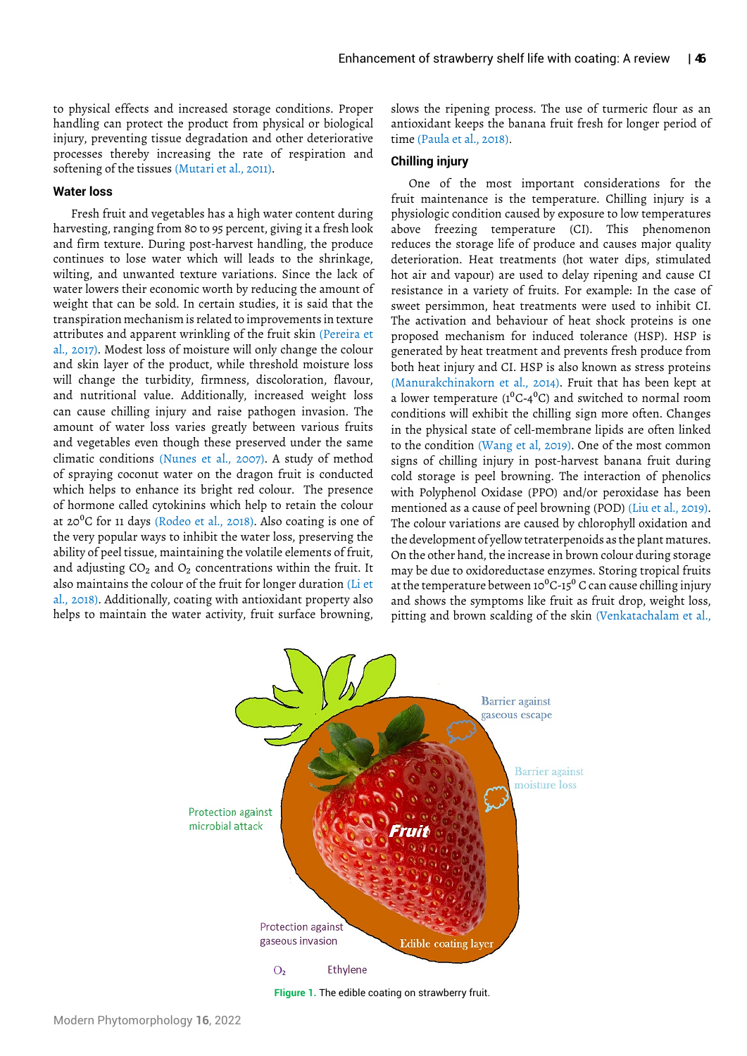to physical effects and increased storage conditions. Proper handling can protect the product from physical or biological injury, preventing tissue degradation and other deteriorative processes thereby increasing the rate of respiration and softening of the tissues (Mutari et al., 2011).

#### **Water loss**

Fresh fruit and vegetables has a high water content during harvesting, ranging from 80 to 95 percent, giving it a fresh look and firm texture. During post-harvest handling, the produce continues to lose water which will leads to the shrinkage, wilting, and unwanted texture variations. Since the lack of water lowers their economic worth by reducing the amount of weight that can be sold. In certain studies, it is said that the transpiration mechanism is related to improvements in texture attributes and apparent wrinkling of the fruit skin (Pereira et al., 2017). Modest loss of moisture will only change the colour and skin layer of the product, while threshold moisture loss will change the turbidity, firmness, discoloration, flavour, and nutritional value. Additionally, increased weight loss can cause chilling injury and raise pathogen invasion. The amount of water loss varies greatly between various fruits and vegetables even though these preserved under the same climatic conditions (Nunes et al., 2007). A study of method of spraying coconut water on the dragon fruit is conducted which helps to enhance its bright red colour. The presence of hormone called cytokinins which help to retain the colour at  $20^{\circ}$ C for 11 days (Rodeo et al., 2018). Also coating is one of the very popular ways to inhibit the water loss, preserving the ability of peel tissue, maintaining the volatile elements of fruit, and adjusting  $CO<sub>2</sub>$  and  $O<sub>2</sub>$  concentrations within the fruit. It also maintains the colour of the fruit for longer duration (Li et al., 2018). Additionally, coating with antioxidant property also helps to maintain the water activity, fruit surface browning,

slows the ripening process. The use of turmeric flour as an antioxidant keeps the banana fruit fresh for longer period of time (Paula et al., 2018).

## **Chilling injury**

One of the most important considerations for the fruit maintenance is the temperature. Chilling injury is a physiologic condition caused by exposure to low temperatures above freezing temperature (CI). This phenomenon reduces the storage life of produce and causes major quality deterioration. Heat treatments (hot water dips, stimulated hot air and vapour) are used to delay ripening and cause CI resistance in a variety of fruits. For example: In the case of sweet persimmon, heat treatments were used to inhibit CI. The activation and behaviour of heat shock proteins is one proposed mechanism for induced tolerance (HSP). HSP is generated by heat treatment and prevents fresh produce from both heat injury and CI. HSP is also known as stress proteins (Manurakchinakorn et al., 2014). Fruit that has been kept at a lower temperature ( $1^{0}C-4^{0}C$ ) and switched to normal room conditions will exhibit the chilling sign more often. Changes in the physical state of cell-membrane lipids are often linked signs of chilling injury in post-harvest banana fruit during cold storage is peel browning. The interaction of phenolics with Polyphenol Oxidase (PPO) and/or peroxidase has been mentioned as a cause of peel browning (POD) (Liu et al., 2019). The colour variations are caused by chlorophyll oxidation and the development of yellow tetraterpenoids as the plant matures. On the other hand, the increase in brown colour during storage may be due to oxidoreductase enzymes. Storing tropical fruits at the temperature between 10 $^{0}$ C-15<sup>0</sup> C can cause chilling injury and shows the symptoms like fruit as fruit drop, weight loss, pitting and brown scalding of the skin (Venkatachalam et al., to the condition (Wang et al, 2019). One of the most common



**FIigure 1.** The edible coating on strawberry fruit.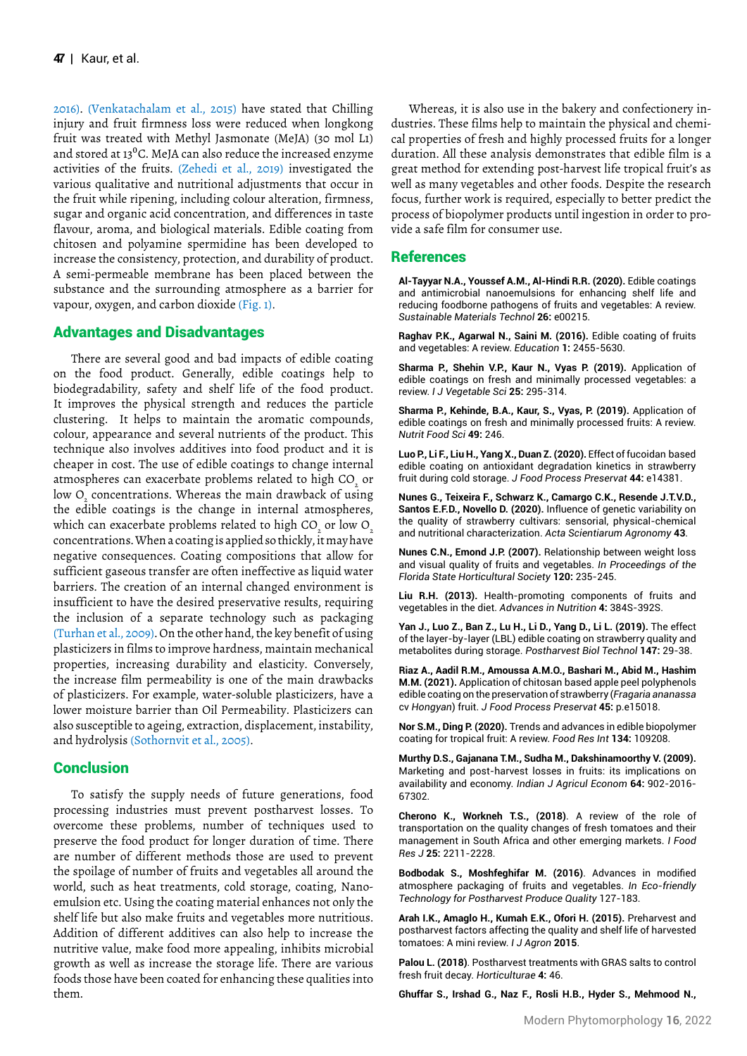2016). (Venkatachalam et al., 2015) have stated that Chilling injury and fruit firmness loss were reduced when longkong fruit was treated with Methyl Jasmonate (MeJA) (30 mol L1) and stored at 13 $\rm ^{0}C$ . MeJA can also reduce the increased enzyme activities of the fruits. (Zehedi et al., 2019) investigated the various qualitative and nutritional adjustments that occur in the fruit while ripening, including colour alteration, firmness, sugar and organic acid concentration, and differences in taste flavour, aroma, and biological materials. Edible coating from chitosen and polyamine spermidine has been developed to increase the consistency, protection, and durability of product. A semi-permeable membrane has been placed between the substance and the surrounding atmosphere as a barrier for vapour, oxygen, and carbon dioxide (Fig. 1).

## Advantages and Disadvantages

There are several good and bad impacts of edible coating on the food product. Generally, edible coatings help to biodegradability, safety and shelf life of the food product. It improves the physical strength and reduces the particle clustering. It helps to maintain the aromatic compounds, colour, appearance and several nutrients of the product. This technique also involves additives into food product and it is cheaper in cost. The use of edible coatings to change internal atmospheres can exacerbate problems related to high CO $_{\tiny 2}^{\phantom{\dag}}$  or low  $\mathrm O_{\mathstrut_{2}}$  concentrations. Whereas the main drawback of using the edible coatings is the change in internal atmospheres, which can exacerbate problems related to high CO $_{_2}$  or low O $_{_2}$ concentrations. When a coating is applied so thickly, it may have negative consequences. Coating compositions that allow for sufficient gaseous transfer are often ineffective as liquid water barriers. The creation of an internal changed environment is insufficient to have the desired preservative results, requiring the inclusion of a separate technology such as packaging (Turhan et al., 2009). On the other hand, the key benefit of using plasticizers in films to improve hardness, maintain mechanical properties, increasing durability and elasticity. Conversely, the increase film permeability is one of the main drawbacks of plasticizers. For example, water-soluble plasticizers, have a lower moisture barrier than Oil Permeability. Plasticizers can also susceptible to ageing, extraction, displacement, instability, and hydrolysis (Sothornvit et al., 2005).

## **Conclusion**

To satisfy the supply needs of future generations, food processing industries must prevent postharvest losses. To overcome these problems, number of techniques used to preserve the food product for longer duration of time. There are number of different methods those are used to prevent the spoilage of number of fruits and vegetables all around the world, such as heat treatments, cold storage, coating, Nanoemulsion etc. Using the coating material enhances not only the shelf life but also make fruits and vegetables more nutritious. Addition of different additives can also help to increase the nutritive value, make food more appealing, inhibits microbial growth as well as increase the storage life. There are various foods those have been coated for enhancing these qualities into them.

Whereas, it is also use in the bakery and confectionery industries. These films help to maintain the physical and chemical properties of fresh and highly processed fruits for a longer duration. All these analysis demonstrates that edible film is a great method for extending post-harvest life tropical fruit's as well as many vegetables and other foods. Despite the research focus, further work is required, especially to better predict the process of biopolymer products until ingestion in order to provide a safe film for consumer use.

## References

**Al-Tayyar N.A., Youssef A.M., Al-Hindi R.R. (2020).** Edi[ble coatings](https://www.sciencedirect.com/science/article/abs/pii/S2214993720305108)  an[d antimicrobial nanoemulsions for enhancing shelf life and](https://www.sciencedirect.com/science/article/abs/pii/S2214993720305108)  red[ucing foodborne pathogens of fruits and vegetables: A review.](https://www.sciencedirect.com/science/article/abs/pii/S2214993720305108) *Sustainable Materials Technol* **26:** e00215.

**Raghav P.K., Agarwal N., Saini M. (2016).** Edi[ble coating of fruits](https://www.researchgate.net/publication/331298687_EDIBLE_COATING_OF_FRUITS_AND_VEGETABLES_A_REVIEW)  an[d vegetables: A review.](https://www.researchgate.net/publication/331298687_EDIBLE_COATING_OF_FRUITS_AND_VEGETABLES_A_REVIEW) *Education* **1:** 2455-5630.

**Sharma P., Shehin V.P., Kaur N., Vyas P. (2019).** Ap[plication of](https://www.tandfonline.com/doi/abs/10.1080/19315260.2018.1510863)  edi[ble coatings on fresh and minimally processed vegetables: a](https://www.tandfonline.com/doi/abs/10.1080/19315260.2018.1510863)  rev[iew.](https://www.tandfonline.com/doi/abs/10.1080/19315260.2018.1510863) *I J Vegetable Sci* **25:** 295-314.

**Sharma P., Kehinde, B.A., Kaur, S., Vyas, P. (2019).** Ap[plication of](https://www.emerald.com/insight/content/doi/10.1108/NFS-08-2018-0246/full/html)  edi[ble coatings on fresh and minimally processed fruits: A review.](https://www.emerald.com/insight/content/doi/10.1108/NFS-08-2018-0246/full/html) *Nutrit Food Sci* **49:** 246.

Luo P., Li F., Liu H., Yang X., Duan Z. (2020). Effect of fucoidan based edi[ble coating on antioxidant degradation kinetics in strawberry](https://ifst.onlinelibrary.wiley.com/doi/abs/10.1111/jfpp.14381)  frui[t during cold storage.](https://ifst.onlinelibrary.wiley.com/doi/abs/10.1111/jfpp.14381) *J Food Process Preservat* **44:** e14381.

**Nunes G., Teixeira F., Schwarz K., Camargo C.K., Resende J.T.V.D., Santos E.F.D., Novello D. (2020).** Infl[uence of genetic variability on](https://www.scielo.br/j/asagr/a/TYMnNQ3cJmcyQM9wcFT84Wc/?lang=en&format=html)  the [quality of strawberry cultivars: sensorial, physical-chemical](https://www.scielo.br/j/asagr/a/TYMnNQ3cJmcyQM9wcFT84Wc/?lang=en&format=html)  an[d nutritional characterization.](https://www.scielo.br/j/asagr/a/TYMnNQ3cJmcyQM9wcFT84Wc/?lang=en&format=html) *Acta Scientiarum Agronomy* **43**.

**Nunes C.N., Emond J.P. (2007).** Rel[ationship between weight loss](https://journals.flvc.org/)  an[d visual quality of fruits and vegetables.](https://journals.flvc.org/) *In Proceedings of the Florida State Horticultural Society* **120:** 235-245.

**Liu R.H. (2013).** He[alth-promoting components of fruits and](https://academic.oup.com/advances/article/4/3/384S/4591619?login=true)  ve[getables in the diet.](https://academic.oup.com/advances/article/4/3/384S/4591619?login=true) *Advances in Nutrition* **4:** 384S-392S.

**Yan J., Luo Z., Ban Z., Lu H., Li D., Yang D., Li L. (2019).** Th[e effect](https://www.sciencedirect.com/science/article/abs/pii/S0925521418305829)  of t[he layer-by-layer \(LBL\) edible coating on strawberry quality and](https://www.sciencedirect.com/science/article/abs/pii/S0925521418305829)  me[tabolites during storage.](https://www.sciencedirect.com/science/article/abs/pii/S0925521418305829) *Postharvest Biol Technol* **147:** 29-38.

**Riaz A., Aadil R.M., Amoussa A.M.O., Bashari M., Abid M., Hashim M.M. (2021).** Application of chitosan based apple peel polyphenols edi[ble coating on the preservation of strawberry \(](https://ifst.onlinelibrary.wiley.com/doi/abs/10.1111/jfpp.15018)*Fragaria ananassa*  cv *[Hongyan](https://ifst.onlinelibrary.wiley.com/doi/abs/10.1111/jfpp.15018)*) fruit. *J Food Process Preservat* **45:** p.e15018.

**Nor S.M., Ding P. (2020).** Tre[nds and advances in edible biopolymer](https://www.sciencedirect.com/science/article/abs/pii/S0963996920302337)  co[ating for tropical fruit: A review.](https://www.sciencedirect.com/science/article/abs/pii/S0963996920302337) *Food Res Int* **134:** 109208.

**Murthy D.S., Gajanana T.M., Sudha M., Dakshinamoorthy V. (2009).** Ma[rketing and post-harvest losses in fruits: its implications on](https://ageconsearch.umn.edu/record/204629/files/07-Sreenivasa Murthy.pdf)  av[ailability and economy.](https://ageconsearch.umn.edu/record/204629/files/07-Sreenivasa Murthy.pdf) *Indian J Agricul Econom* **64:** 902-2016- 67302.

**Cherono K., Workneh T.S., (2018)**. A [review of the role of](https://www.researchgate.net/profile/Kipchumba-Cherono/publication/332112700_A_review_of_the_role_of_transportation_on_the_quality_changes_of_fresh_tomatoes_and_their_management_in_South_Africa_and_other_emerging_markets/links/5ca1ff13299bf1116954e8e4/A-review-of-the-role-of-transportation-on-the-quality-changes-of-fresh-tomatoes-and-their-management-in-South-Africa-and-other-emerging-markets.pdf)  tra[nsportation on the quality changes of fresh tomatoes and their](https://www.researchgate.net/profile/Kipchumba-Cherono/publication/332112700_A_review_of_the_role_of_transportation_on_the_quality_changes_of_fresh_tomatoes_and_their_management_in_South_Africa_and_other_emerging_markets/links/5ca1ff13299bf1116954e8e4/A-review-of-the-role-of-transportation-on-the-quality-changes-of-fresh-tomatoes-and-their-management-in-South-Africa-and-other-emerging-markets.pdf)  ma[nagement in South Africa and other emerging markets.](https://www.researchgate.net/profile/Kipchumba-Cherono/publication/332112700_A_review_of_the_role_of_transportation_on_the_quality_changes_of_fresh_tomatoes_and_their_management_in_South_Africa_and_other_emerging_markets/links/5ca1ff13299bf1116954e8e4/A-review-of-the-role-of-transportation-on-the-quality-changes-of-fresh-tomatoes-and-their-management-in-South-Africa-and-other-emerging-markets.pdf) *I Food Res J* **25:** 2211-2228.

**Bodbodak S., Moshfeghifar M. (2016)**. Ad[vances in modified](https://www.sciencedirect.com/science/article/pii/B9780128043134000049)  at[mosphere packaging of fruits and vegetables.](https://www.sciencedirect.com/science/article/pii/B9780128043134000049) *In Eco-friendly Technology for Postharvest Produce Quality* 127-183.

**Arah I.K., Amaglo H., Kumah E.K., Ofori H. (2015).** Pr[eharvest and](https://www.hindawi.com/journals/ija/2015/478041/)  po[stharvest factors affecting the quality and shelf life of harvested](https://www.hindawi.com/journals/ija/2015/478041/)  to[matoes: A mini review.](https://www.hindawi.com/journals/ija/2015/478041/) *I J Agron* **2015**.

**Palou L. (2018)**. Po[stharvest treatments with GRAS salts to control](https://www.mdpi.com/2311-7524/4/4/46)  fre[sh fruit decay.](https://www.mdpi.com/2311-7524/4/4/46) *Horticulturae* **4:** 46.

**Ghuffar S., Irshad G., Naz F., Rosli H.B., Hyder S., Mehmood N.,**